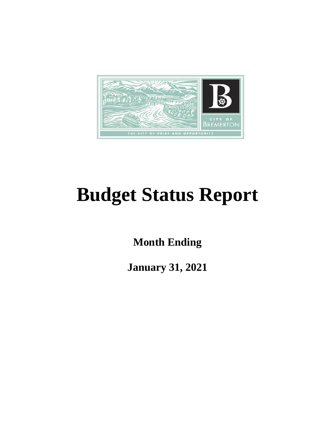

# **Budget Status Report**

**Month Ending**

**January 31, 2021**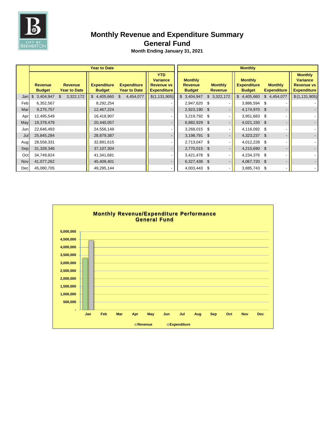

# **Monthly Revenue and Expenditure Summary**

## **General Fund**

|     | <b>Year to Date</b>             |                                       |                                     |                                           |                                                                          |                                                   | <b>Monthly</b>                   |                                                       |                                      |                                                                              |  |  |  |
|-----|---------------------------------|---------------------------------------|-------------------------------------|-------------------------------------------|--------------------------------------------------------------------------|---------------------------------------------------|----------------------------------|-------------------------------------------------------|--------------------------------------|------------------------------------------------------------------------------|--|--|--|
|     | <b>Revenue</b><br><b>Budget</b> | <b>Revenue</b><br><b>Year to Date</b> | <b>Expenditure</b><br><b>Budget</b> | <b>Expenditure</b><br><b>Year to Date</b> | <b>YTD</b><br><b>Variance</b><br><b>Revenue vs</b><br><b>Expenditure</b> | <b>Monthly</b><br><b>Revenue</b><br><b>Budget</b> | <b>Monthly</b><br><b>Revenue</b> | <b>Monthly</b><br><b>Expenditure</b><br><b>Budget</b> | <b>Monthly</b><br><b>Expenditure</b> | <b>Monthly</b><br><b>Variance</b><br><b>Revenue vs</b><br><b>Expenditure</b> |  |  |  |
| Jan | $\mathbb{S}$<br>3,404,947       | 3,322,172<br>\$                       | \$4,405,660                         | 4,454,077<br>\$.                          | \$(1, 131, 905)                                                          | \$3,404,947                                       | \$3,322,172                      | \$4,405,660                                           | \$4,454,077                          | \$(1, 131, 905)                                                              |  |  |  |
| Feb | 6,352,567                       |                                       | 8,292,254                           |                                           |                                                                          | 2,947,620 \$                                      |                                  | 3,886,594 \$                                          |                                      |                                                                              |  |  |  |
| Mar | 9,275,757                       |                                       | 12,467,224                          |                                           |                                                                          | 2,923,190 \$                                      |                                  | 4,174,970 \$                                          |                                      |                                                                              |  |  |  |
| Apr | 12,495,549                      |                                       | 16,418,907                          |                                           |                                                                          | 3,219,792 \$                                      |                                  | 3,951,683 \$                                          |                                      |                                                                              |  |  |  |
| May | 19,378,479                      |                                       | 20,440,057                          |                                           |                                                                          | 6,882,929 \$                                      |                                  | 4,021,150 \$                                          |                                      |                                                                              |  |  |  |
| Jun | 22,646,493                      |                                       | 24,556,149                          |                                           |                                                                          | 3,268,015 \$                                      |                                  | 4,116,092 \$                                          |                                      |                                                                              |  |  |  |
| Jul | 25,845,284                      |                                       | 28,879,387                          |                                           |                                                                          | 3,198,791 \$                                      |                                  | 4,323,237 \$                                          |                                      |                                                                              |  |  |  |
| Aug | 28,558,331                      |                                       | 32,891,615                          |                                           |                                                                          | 2,713,047 \$                                      |                                  | 4,012,228 \$                                          |                                      |                                                                              |  |  |  |
| Sep | 31,328,346                      |                                       | 37,107,304                          |                                           |                                                                          | 2,770,015 \$                                      |                                  | 4,215,690 \$                                          |                                      |                                                                              |  |  |  |
| Oct | 34,749,824                      |                                       | 41,341,681                          |                                           |                                                                          | 3,421,478 \$                                      |                                  | 4,234,376 \$                                          |                                      |                                                                              |  |  |  |
| Nov | 41,077,262                      |                                       | 45,409,401                          |                                           |                                                                          | 6,327,438 \$                                      |                                  | 4,067,720 \$                                          |                                      |                                                                              |  |  |  |
| Dec | 45,080,705                      |                                       | 49,295,144                          |                                           |                                                                          | 4,003,443 \$                                      |                                  | 3,885,743 \$                                          | $\blacksquare$                       |                                                                              |  |  |  |

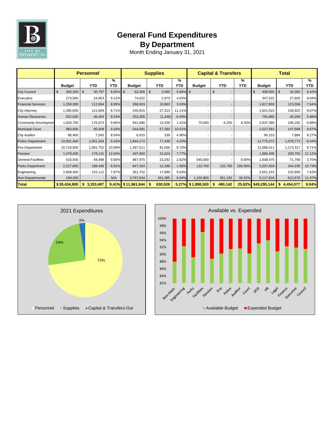

# **General Fund Expenditures By Department**

|                             | <b>Personnel</b> |                          |             | <b>Supplies</b> |                         |                             | <b>Capital &amp; Transfers</b> |                          |          | <b>Total</b>  |                 |                 |
|-----------------------------|------------------|--------------------------|-------------|-----------------|-------------------------|-----------------------------|--------------------------------|--------------------------|----------|---------------|-----------------|-----------------|
|                             | <b>Budget</b>    | <b>YTD</b>               | %<br>YTD    | <b>Budget</b>   | <b>YTD</b>              | $\frac{9}{6}$<br><b>YTD</b> | <b>Budget</b>                  | <b>YTD</b>               | %<br>YTD | <b>Budget</b> | <b>YTD</b>      | %<br><b>YTD</b> |
| <b>City Council</b>         | 345,200<br>\$    | 30,797<br>$\mathfrak{F}$ | $8.92\%$ \$ | 63,365          | $\mathfrak{s}$<br>3,585 | 5.66%                       | $\mathfrak{s}$                 | $\$\$                    |          | 408,565<br>\$ | - \$<br>34,382  | 8.42%           |
| Executive                   | 273,500          | 24,953                   | 9.12%       | 74,022          | 2,973                   | 4.02%                       |                                |                          |          | 347,522       | 27,926          | 8.04%           |
| <b>Financial Services</b>   | 1,259,300        | 112,694                  | 8.95%       | 358,603         | 10,863                  | 3.03%                       |                                | $\overline{\phantom{a}}$ |          | 1,617,903     | 123,556         | 7.64%           |
| <b>City Attorney</b>        | 1,395,600        | 121,609                  | 8.71%       | 245,915         | 27,313                  | 11.11%                      |                                |                          |          | 1,641,515     | 148,922         | 9.07%           |
| <b>Human Resources</b>      | 502,500          | 46,454                   | 9.24%       | 253,385         | (1,246)                 | $-0.49%$                    |                                |                          |          | 755,885       | 45,209          | 5.98%           |
| <b>Community Developmer</b> | 1,820,700        | 175,673                  | 9.65%       | 941,680         | 13,259                  | 1.41%                       | 75,000                         | 6,250                    | 8.33%    | 2,837,380     | 195,182         | 6.88%           |
| <b>Municipal Court</b>      | 983,000          | 90,409                   | 9.20%       | 544,581         | 57,260                  | 10.51%                      |                                |                          |          | 1,527,581     | 147,668         | 9.67%           |
| <b>City Auditor</b>         | 88,400           | 7,545                    | 8.54%       | 6,915           | 339                     | 4.90%                       |                                |                          |          | 95,315        | 7,884           | 8.27%           |
| <b>Police Department</b>    | 10,931,400       | 1,001,334                | 9.16%       | 1,844,172       | 77,439                  | 4.20%                       |                                |                          |          | 12,775,572    | 1,078,773       | 8.44%           |
| <b>Fire Department</b>      | 10,718,900       | 1,081,752                | 10.09%      | 1,367,511       | 91,566                  | 6.70%                       |                                |                          |          | 12,086,411    | 1,173,317       | 9.71%           |
| Pension                     | 1,479,400        | 178,131                  | 12.04%      | 407,000         | 31,624                  | 7.77%                       |                                |                          |          | 1,886,400     | 209,755         | 11.12%          |
| <b>General Facilities</b>   | 510,500          | 48,498                   | 9.50%       | 887,975         | 23,292                  | 2.62%                       | 540,000                        |                          | 0.00%    | 1,938,475     | 71,790          | 3.70%           |
| <b>Parks Department</b>     | 2,227,800        | 198,446                  | 8.91%       | 847,334         | 13,189                  | 1.56%                       | 132,700                        | 132,700                  | 100.00%  | 3,207,834     | 344,335         | 10.73%          |
| Engineering                 | 2,699,400        | 215,112                  | 7.97%       | 351,752         | 17,689                  | 5.03%                       |                                |                          |          | 3,051,152     | 232,800         | 7.63%           |
| Non-Departmental            | 199,200          |                          | N/A         | 3,767,634       | 261,385                 | 6.94%                       | 1,150,800                      | 351,192                  | 30.52%   | 5,117,634     | 612,576         | 11.97%          |
| <b>Total</b>                | \$35,434,800     | 3,333,407<br>\$          | 9.41%       | \$11,961,844    | 630,528<br>\$           | 5.27%                       | \$1,898,500                    | 490,142<br>\$            | 25.82%   | \$49,295,144  | \$<br>4,454,077 | 9.04%           |



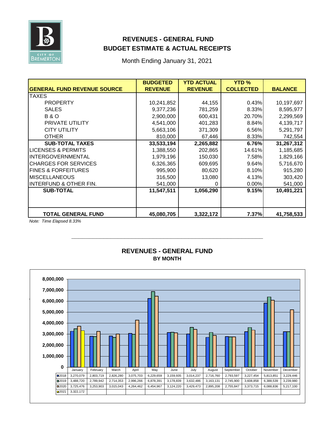

## **REVENUES - GENERAL FUND BUDGET ESTIMATE & ACTUAL RECEIPTS**

Month Ending January 31, 2021

|                                    | <b>BUDGETED</b> | <b>YTD ACTUAL</b> | <b>YTD %</b>     |                |
|------------------------------------|-----------------|-------------------|------------------|----------------|
| <b>GENERAL FUND REVENUE SOURCE</b> | <b>REVENUE</b>  | <b>REVENUE</b>    | <b>COLLECTED</b> | <b>BALANCE</b> |
| <b>TAXES</b>                       |                 |                   |                  |                |
| <b>PROPERTY</b>                    | 10,241,852      | 44,155            | 0.43%            | 10,197,697     |
| <b>SALES</b>                       | 9,377,236       | 781,259           | 8.33%            | 8,595,977      |
| <b>B&amp;O</b>                     | 2,900,000       | 600,431           | 20.70%           | 2,299,569      |
| <b>PRIVATE UTILITY</b>             | 4,541,000       | 401,283           | 8.84%            | 4,139,717      |
| <b>CITY UTILITY</b>                | 5,663,106       | 371,309           | 6.56%            | 5,291,797      |
| <b>OTHER</b>                       | 810,000         | 67,446            | 8.33%            | 742,554        |
| <b>SUB-TOTAL TAXES</b>             | 33,533,194      | 2,265,882         | 6.76%            | 31,267,312     |
| <b>LICENSES &amp; PERMITS</b>      | 1,388,550       | 202,865           | 14.61%           | 1,185,685      |
| <b>INTERGOVERNMENTAL</b>           | 1,979,196       | 150,030           | 7.58%            | 1,829,166      |
| <b>CHARGES FOR SERVICES</b>        | 6,326,365       | 609,695           | 9.64%            | 5,716,670      |
| <b>FINES &amp; FORFEITURES</b>     | 995,900         | 80,620            | 8.10%            | 915,280        |
| <b>MISCELLANEOUS</b>               | 316,500         | 13,080            | 4.13%            | 303,420        |
| <b>INTERFUND &amp; OTHER FIN.</b>  | 541,000         | 0                 | 0.00%            | 541,000        |
| <b>SUB-TOTAL</b>                   | 11,547,511      | 1,056,290         | 9.15%            | 10,491,221     |
|                                    |                 |                   |                  |                |
| <b>TOTAL GENERAL FUND</b>          | 45,080,705      | 3,322,172         | 7.37%            | 41,758,533     |

*Note: Time Elapsed 8.33%*



#### **BY MONTH REVENUES - GENERAL FUND**

**\_\_\_\_\_\_\_\_\_\_\_\_\_\_\_\_\_\_\_\_\_\_\_\_\_\_\_\_\_\_\_\_\_\_\_\_\_\_\_\_\_\_\_\_\_\_\_\_\_\_\_\_\_\_**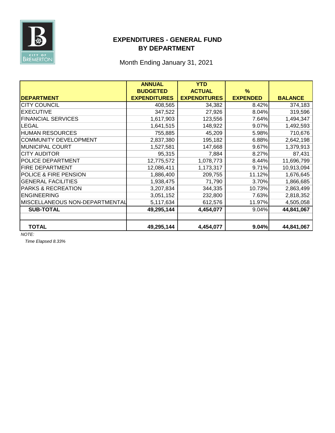

## **EXPENDITURES - GENERAL FUND BY DEPARTMENT**

Month Ending January 31, 2021

|                                  | <b>ANNUAL</b>       | <b>YTD</b>          |                 |                |
|----------------------------------|---------------------|---------------------|-----------------|----------------|
|                                  | <b>BUDGETED</b>     | <b>ACTUAL</b>       | %               |                |
| <b>DEPARTMENT</b>                | <b>EXPENDITURES</b> | <b>EXPENDITURES</b> | <b>EXPENDED</b> | <b>BALANCE</b> |
| <b>CITY COUNCIL</b>              | 408,565             | 34,382              | 8.42%           | 374,183        |
| <b>EXECUTIVE</b>                 | 347,522             | 27,926              | 8.04%           | 319,596        |
| <b>FINANCIAL SERVICES</b>        | 1,617,903           | 123,556             | 7.64%           | 1,494,347      |
| <b>LEGAL</b>                     | 1,641,515           | 148,922             | 9.07%           | 1,492,593      |
| <b>HUMAN RESOURCES</b>           | 755,885             | 45,209              | 5.98%           | 710,676        |
| COMMUNITY DEVELOPMENT            | 2,837,380           | 195,182             | 6.88%           | 2,642,198      |
| <b>MUNICIPAL COURT</b>           | 1,527,581           | 147,668             | 9.67%           | 1,379,913      |
| <b>CITY AUDITOR</b>              | 95,315              | 7,884               | 8.27%           | 87,431         |
| <b>IPOLICE DEPARTMENT</b>        | 12,775,572          | 1,078,773           | 8.44%           | 11,696,799     |
| <b>FIRE DEPARTMENT</b>           | 12,086,411          | 1,173,317           | 9.71%           | 10,913,094     |
| <b>POLICE &amp; FIRE PENSION</b> | 1,886,400           | 209,755             | 11.12%          | 1,676,645      |
| <b>GENERAL FACILITIES</b>        | 1,938,475           | 71,790              | 3.70%           | 1,866,685      |
| <b>PARKS &amp; RECREATION</b>    | 3,207,834           | 344,335             | 10.73%          | 2,863,499      |
| <b>ENGINEERING</b>               | 3,051,152           | 232,800             | 7.63%           | 2,818,352      |
| MISCELLANEOUS NON-DEPARTMENTAL   | 5,117,634           | 612,576             | 11.97%          | 4,505,058      |
| <b>SUB-TOTAL</b>                 | 49,295,144          | 4,454,077           | 9.04%           | 44,841,067     |
|                                  |                     |                     |                 |                |
| <b>TOTAL</b>                     | 49,295,144          | 4,454,077           | 9.04%           | 44,841,067     |

*NOTE:* 

*Time Elapsed 8.33%*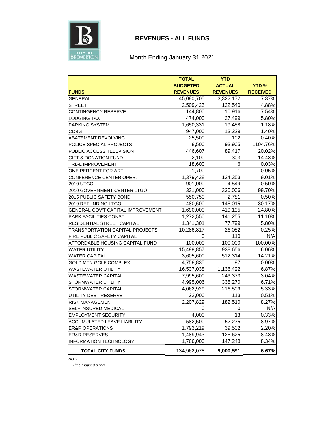

#### **REVENUES - ALL FUNDS**

#### Month Ending January 31,2021

|                                          | <b>TOTAL</b>    | <b>YTD</b>      |                 |
|------------------------------------------|-----------------|-----------------|-----------------|
|                                          | <b>BUDGETED</b> | <b>ACTUAL</b>   | <b>YTD%</b>     |
| <b>FUNDS</b>                             | <b>REVENUES</b> | <b>REVENUES</b> | <b>RECEIVED</b> |
| GENERAL                                  | 45,080,705      | 3,322,172       | 7.37%           |
| <b>STREET</b>                            | 2,509,423       | 122,540         | 4.88%           |
| CONTINGENCY RESERVE                      | 144,800         | 10,916          | 7.54%           |
| LODGING TAX                              | 474,000         | 27,499          | 5.80%           |
| PARKING SYSTEM                           | 1,650,331       | 19,458          | 1.18%           |
| CDBG                                     | 947,000         | 13,229          | 1.40%           |
| ABATEMENT REVOLVING                      | 25,500          | 102             | 0.40%           |
| POLICE SPECIAL PROJECTS                  | 8,500           | 93,905          | 1104.76%        |
| PUBLIC ACCESS TELEVISION                 | 446,607         | 89,417          | 20.02%          |
| <b>GIFT &amp; DONATION FUND</b>          | 2,100           | 303             | 14.43%          |
| TRIAL IMPROVEMENT                        | 18,600          | 6               | 0.03%           |
| ONE PERCENT FOR ART                      | 1,700           | 1               | 0.05%           |
| CONFERENCE CENTER OPER.                  | 1,379,438       | 124,353         | 9.01%           |
| 2010 UTGO                                | 901,000         | 4,549           | 0.50%           |
| 2010 GOVERNMENT CENTER LTGO              | 331,000         | 330,006         | 99.70%          |
| 2015 PUBLIC SAFETY BOND                  | 550,750         | 2,781           | 0.50%           |
| 2019 REFUNDING LTGO                      | 480,600         | 145,015         | 30.17%          |
| <b>GENERAL GOV'T CAPITAL IMPROVEMENT</b> | 1,690,000       | 419,195         | 24.80%          |
| <b>PARK FACILITIES CONST.</b>            | 1,272,550       | 141,255         | 11.10%          |
| RESIDENTIAL STREET CAPITAL               | 1,341,301       | 77,799          | 5.80%           |
| TRANSPORTATION CAPITAL PROJECTS          | 10,286,817      | 26,052          | 0.25%           |
| FIRE PUBLIC SAFETY CAPITAL               | 0               | 110             | N/A             |
| AFFORDABLE HOUSING CAPITAL FUND          | 100,000         | 100,000         | 100.00%         |
| WATER UTILITY                            | 15,498,857      | 938,656         | 6.06%           |
| <b>WATER CAPITAL</b>                     | 3,605,600       | 512,314         | 14.21%          |
| <b>GOLD MTN GOLF COMPLEX</b>             | 4,758,835       | 97              | $0.00\%$        |
| WASTEWATER UTILITY                       | 16,537,038      | 1,136,422       | 6.87%           |
| WASTEWATER CAPITAL                       | 7,995,600       | 243,373         | 3.04%           |
| STORMWATER UTILITY                       | 4,995,006       | 335,270         | 6.71%           |
| STORMWATER CAPITAL                       | 4,062,929       | 216,509         | 5.33%           |
| UTILITY DEBT RESERVE                     | 22,000          | 113             | 0.51%           |
| RISK MANAGEMENT                          | 2,207,829       | 182,510         | 8.27%           |
| SELF INSURED MEDICAL                     | 0               | 0               | N/A             |
| <b>EMPLOYMENT SECURITY</b>               | 4,000           | 13              | 0.33%           |
| ACCUMULATED LEAVE LIABILITY              | 582,500         | 52,275          | 8.97%           |
| <b>ER&amp;R OPERATIONS</b>               | 1,793,219       | 39,502          | 2.20%           |
| <b>ER&amp;R RESERVES</b>                 | 1,489,943       | 125,625         | 8.43%           |
| INFORMATION TECHNOLOGY                   | 1,766,000       | 147,248         | 8.34%           |
| <b>TOTAL CITY FUNDS</b>                  | 134,962,078     | 9,000,591       | 6.67%           |

*NOTE:*

*Time Elapsed 8.33%*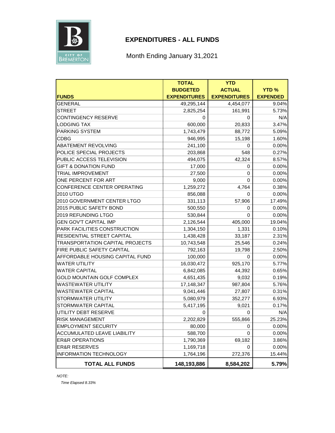

## **EXPENDITURES - ALL FUNDS**

Month Ending January 31,2021

|                                   | <b>TOTAL</b>        | <b>YTD</b>          |                 |
|-----------------------------------|---------------------|---------------------|-----------------|
|                                   | <b>BUDGETED</b>     | <b>ACTUAL</b>       | <b>YTD%</b>     |
| <b>FUNDS</b>                      | <b>EXPENDITURES</b> | <b>EXPENDITURES</b> | <b>EXPENDED</b> |
| <b>GENERAL</b>                    | 49,295,144          | 4,454,077           | 9.04%           |
| <b>STREET</b>                     | 2,825,254           | 161,991             | 5.73%           |
| CONTINGENCY RESERVE               | 0                   | 0                   | N/A             |
| <b>LODGING TAX</b>                | 600,000             | 20,833              | 3.47%           |
| PARKING SYSTEM                    | 1,743,479           | 88,772              | 5.09%           |
| CDBG                              | 946,995             | 15,198              | 1.60%           |
| <b>ABATEMENT REVOLVING</b>        | 241,100             | 0                   | 0.00%           |
| POLICE SPECIAL PROJECTS           | 203,868             | 548                 | 0.27%           |
| PUBLIC ACCESS TELEVISION          | 494,075             | 42,324              | 8.57%           |
| <b>GIFT &amp; DONATION FUND</b>   | 17,000              | 0                   | 0.00%           |
| TRIAL IMPROVEMENT                 | 27,500              | 0                   | 0.00%           |
| ONE PERCENT FOR ART               | 9,000               | $\Omega$            | 0.00%           |
| CONFERENCE CENTER OPERATING       | 1,259,272           | 4,764               | 0.38%           |
| 2010 UTGO                         | 856,088             | 0                   | 0.00%           |
| 2010 GOVERNMENT CENTER LTGO       | 331,113             | 57,906              | 17.49%          |
| 2015 PUBLIC SAFETY BOND           | 500,550             | 0                   | 0.00%           |
| 2019 REFUNDING LTGO               | 530,844             | 0                   | 0.00%           |
| <b>GEN GOV'T CAPITAL IMP</b>      | 2,126,544           | 405,000             | 19.04%          |
| PARK FACILITIES CONSTRUCTION      | 1,304,150           | 1,331               | 0.10%           |
| RESIDENTIAL STREET CAPITAL        | 1,438,428           | 33,187              | 2.31%           |
| TRANSPORTATION CAPITAL PROJECTS   | 10,743,548          | 25,546              | 0.24%           |
| FIRE PUBLIC SAFETY CAPITAL        | 792,163             | 19,798              | 2.50%           |
| AFFORDABLE HOUSING CAPITAL FUND   | 100,000             | 0                   | 0.00%           |
| WATER UTILITY                     | 16,030,472          | 925,170             | 5.77%           |
| <b>WATER CAPITAL</b>              | 6,842,085           | 44,392              | 0.65%           |
| <b>GOLD MOUNTAIN GOLF COMPLEX</b> | 4,651,435           | 9,032               | 0.19%           |
| <b>WASTEWATER UTILITY</b>         | 17,148,347          | 987,804             | 5.76%           |
| <b>WASTEWATER CAPITAL</b>         | 9,041,446           | 27,807              | 0.31%           |
| STORMWATER UTILITY                | 5,080,979           | 352,277             | 6.93%           |
| STORMWATER CAPITAL                | 5,417,195           | 9,021               | 0.17%           |
| UTILITY DEBT RESERVE              | 0                   | 0                   | N/A             |
| <b>RISK MANAGEMENT</b>            | 2,202,829           | 555,866             | 25.23%          |
| <b>EMPLOYMENT SECURITY</b>        | 80,000              | 0                   | 0.00%           |
| ACCUMULATED LEAVE LIABILITY       | 588,700             | $\Omega$            | 0.00%           |
| <b>ER&amp;R OPERATIONS</b>        | 1,790,369           | 69,182              | 3.86%           |
| <b>ER&amp;R RESERVES</b>          | 1,169,718           | 0                   | 0.00%           |
| <b>INFORMATION TECHNOLOGY</b>     | 1,764,196           | 272,376             | 15.44%          |
| <b>TOTAL ALL FUNDS</b>            | 148,193,886         | 8,584,202           | 5.79%           |

*NOTE:* 

*Time Elapsed 8.33%*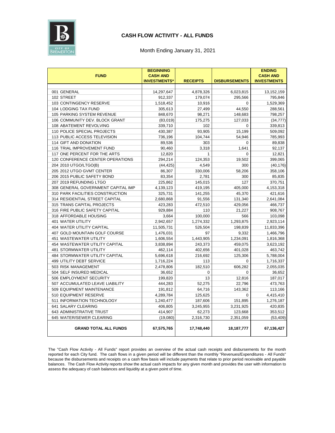

#### **CASH FLOW ACTIVITY - ALL FUNDS**

#### Month Ending January 31, 2021

|                                    | <b>BEGINNING</b>                       |                 |                      | <b>ENDING</b>                         |
|------------------------------------|----------------------------------------|-----------------|----------------------|---------------------------------------|
| <b>FUND</b>                        | <b>CASH AND</b><br><b>INVESTMENTS*</b> | <b>RECEIPTS</b> | <b>DISBURSEMENTS</b> | <b>CASH AND</b><br><b>INVESTMENTS</b> |
|                                    |                                        |                 |                      |                                       |
| 001 GENERAL                        | 14,297,647                             | 4,878,326       | 6,023,815            | 13,152,159                            |
| 102 STREET                         | 912,337                                | 179,074         | 295,566              | 795,846                               |
| 103 CONTINGENCY RESERVE            | 1,518,452                              | 10,916          | 0                    | 1,529,369                             |
| 104 LODGING TAX FUND               | 305,613                                | 27,499          | 44,550               | 288,561                               |
| 105 PARKING SYSTEM REVENUE         | 848,670                                | 98,271          | 148,683              | 798,257                               |
| 106 COMMUNITY DEV. BLOCK GRANT     | (83,019)                               | 175,275         | 127,033              | (34, 777)                             |
| 108 ABATEMENT REVOLVING            | 339,710                                | 102             | $\Omega$             | 339,813                               |
| 110 POLICE SPECIAL PROJECTS        | 430,387                                | 93,905          | 15,199               | 509,092                               |
| 113 PUBLIC ACCESS TELEVISION       | 736,196                                | 104,744         | 54.946               | 785,993                               |
| 114 GIFT AND DONATION              | 89,536                                 | 303             | 0                    | 89,838                                |
| 116 TRIAL IMPROVEMENT FUND         | 90,460                                 | 3,318           | 1,641                | 92,137                                |
| 117 ONE PERCENT FOR THE ARTS       | 12,820                                 | $\mathbf{1}$    | $\Omega$             | 12,821                                |
| 120 CONFERENCE CENTER OPERATIONS   | 294,214                                | 124,353         | 19,502               | 399,065                               |
| 204 2010 UTGO/LTGO(B)              | (44, 425)                              | 4,549           | 300                  | (40, 176)                             |
| 205 2012 UTGO GVMT CENTER          | 86,307                                 | 330,006         | 58,206               | 358,106                               |
| 206 2015 PUBLIC SAFETY BOND        | 83,354                                 | 2,781           | 300                  | 85,835                                |
| 207 2019 REFUNDING LTGO            | 225,862                                | 145,015         | 127                  | 370,751                               |
| 308 GENERAL GOVERNMENT CAPITAL IMP | 4,139,123                              | 419,195         | 405,000              | 4,153,318                             |
| 310 PARK FACILITIES CONSTRUCTION   | 325,731                                | 141,255         | 45,370               | 421,616                               |
| 314 RESIDENTIAL STREET CAPITAL     | 2,680,868                              | 91,556          | 131,340              | 2,641,084                             |
| 315 TRANS CAPITAL PROJECTS         | 423,283                                | 472,510         | 429,056              | 466,737                               |
| 316 FIRE PUBLIC SAFETY CAPITAL     | 929,884                                | 110             | 21,227               | 908,767                               |
| 318 AFFORDABLE HOUSING             | 3,664                                  | 100,000         | 566                  | 103,098                               |
| <b>401 WATER UTILITY</b>           | 2,942,657                              | 1,274,332       | 1,293,875            | 2,923,114                             |
| 404 WATER UTILITY CAPITAL          | 11,505,731                             | 526,504         | 198,839              | 11,833,396                            |
| 407 GOLD MOUNTAIN GOLF COURSE      | 1,476,031                              | 97              | 9,332                | 1,466,796                             |
| 451 WASTEWATER UTILITY             | 1,606,554                              | 1,443,905       | 1,234,091            | 1,816,368                             |
| 454 WASTEWATER UTILITY CAPITAL     | 3,838,894                              | 243,373         | 459,075              | 3,623,192                             |
| <b>481 STORMWATER UTILITY</b>      | 462,114                                | 402,656         | 401,028              | 463,742                               |
| 484 STORMWATER UTILITY CAPITAL     | 5,696,618                              | 216,692         | 125,306              | 5,788,004                             |
| <b>499 UTILITY DEBT SERVICE</b>    | 1,716,224                              | 113             | $\mathbf 0$          | 1,716,337                             |
| 503 RISK MANAGEMENT                | 2,478,806                              | 182,510         | 606,282              | 2,055,035                             |
| 504 SELF INSURED MEDICAL           | 36,652                                 | $\mathbf 0$     | $\mathbf 0$          | 36,652                                |
| 506 EMPLOYMENT SECURITY            | 199,820                                | 13              | 12,816               | 187,017                               |
| 507 ACCUMULATED LEAVE LIABILITY    | 444,283                                | 52,275          | 22,796               | 473,763                               |
| 509 EQUIPMENT MAINTENANCE          | 191,812                                | 64,716          | 143,362              | 113,166                               |
| 510 EQUIPMENT RESERVE              | 4,289,784                              | 125,625         | 0                    | 4,415,410                             |
| 511 INFORMATION TECHNOLOGY         | 1,240,477                              | 187,606         | 151,895              | 1,276,187                             |
| 641 SALARY CLEARING                | 406,805                                | 3,245,955       | 3,231,925            | 420,835                               |
| 643 ADMINISTRATIVE TRUST           | 414,907                                | 62,273          | 123,668              | 353,512                               |
| 645 WATER/SEWER CLEARING           | (19,080)                               | 2,316,730       | 2,351,059            | (53, 409)                             |
| <b>GRAND TOTAL ALL FUNDS</b>       | 67,575,765                             | 17,748,440      | 18, 187, 777         | 67,136,427                            |

The "Cash Flow Activity - All Funds" report provides an overview of the actual cash receipts and disbursements for the month reported for each City fund. The cash flows in a given period will be different than the monthly "Revenues/Expenditures - All Funds" because the disbursements and receipts on a cash flow basis will include payments that relate to prior period receivable and payable balances. The Cash Flow Activity reports show the actual cash impacts for any given month and provides the user with information to assess the adequacy of cash balances and liquidity at a given point of time.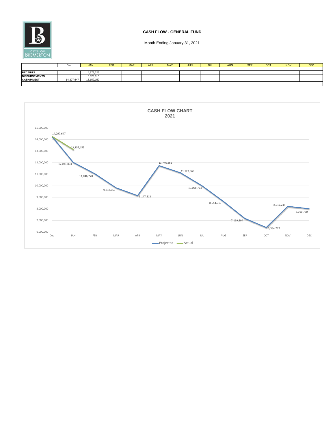

#### **CASH FLOW - GENERAL FUND**

|                      | Dec        | <b>JAN</b> | <b>FEB</b> | <b>MAR</b> | <b>APR</b> | <b>MAY</b> | <b>JUN</b> | JUL | <b>AUG</b> | <b>SEP</b> | <b>OCT</b> | NO <sub>1</sub> | <b>DEC</b> |
|----------------------|------------|------------|------------|------------|------------|------------|------------|-----|------------|------------|------------|-----------------|------------|
|                      |            |            |            |            |            |            |            |     |            |            |            |                 |            |
| <b>RECEIPTS</b>      |            | 4,878,326  |            |            |            |            |            |     |            |            |            |                 |            |
| <b>DISBURSEMENTS</b> |            | 6,023,815  |            |            |            |            |            |     |            |            |            |                 |            |
| <b>CASH/INVEST</b>   | 14,297.647 | 13.152.159 |            |            |            |            |            |     |            |            |            |                 |            |
|                      |            |            |            |            |            |            |            |     |            |            |            |                 |            |